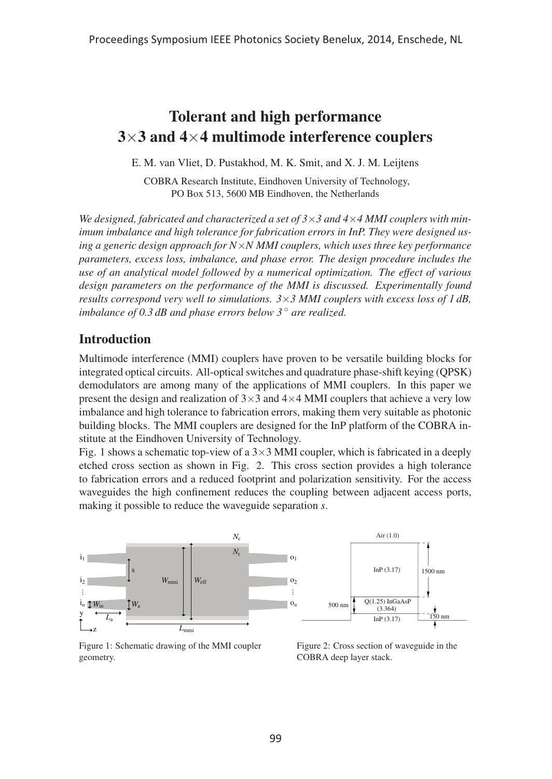# Tolerant and high performance  $3\times3$  and  $4\times4$  multimode interference couplers

E. M. van Vliet, D. Pustakhod, M. K. Smit, and X. J. M. Leijtens

COBRA Research Institute, Eindhoven University of Technology, PO Box 513, 5600 MB Eindhoven, the Netherlands

*We designed, fabricated and characterized a set of 3*×*3 and 4*×*4 MMI couplers with minimum imbalance and high tolerance for fabrication errors in InP. They were designed using a generic design approach for N*×*N MMI couplers, which uses three key performance parameters, excess loss, imbalance, and phase error. The design procedure includes the use of an analytical model followed by a numerical optimization. The effect of various design parameters on the performance of the MMI is discussed. Experimentally found results correspond very well to simulations. 3*×*3 MMI couplers with excess loss of 1 dB, imbalance of 0.3 dB and phase errors below 3* ◦ *are realized.*

### **Introduction**

Multimode interference (MMI) couplers have proven to be versatile building blocks for integrated optical circuits. All-optical switches and quadrature phase-shift keying (QPSK) demodulators are among many of the applications of MMI couplers. In this paper we present the design and realization of  $3\times 3$  and  $4\times 4$  MMI couplers that achieve a very low imbalance and high tolerance to fabrication errors, making them very suitable as photonic building blocks. The MMI couplers are designed for the InP platform of the COBRA institute at the Eindhoven University of Technology.

Fig. 1 shows a schematic top-view of a  $3\times3$  MMI coupler, which is fabricated in a deeply etched cross section as shown in Fig. 2. This cross section provides a high tolerance to fabrication errors and a reduced footprint and polarization sensitivity. For the access waveguides the high confinement reduces the coupling between adjacent access ports, making it possible to reduce the waveguide separation *s*.



Figure 1: Schematic drawing of the MMI coupler geometry.

Figure 2: Cross section of waveguide in the COBRA deep layer stack.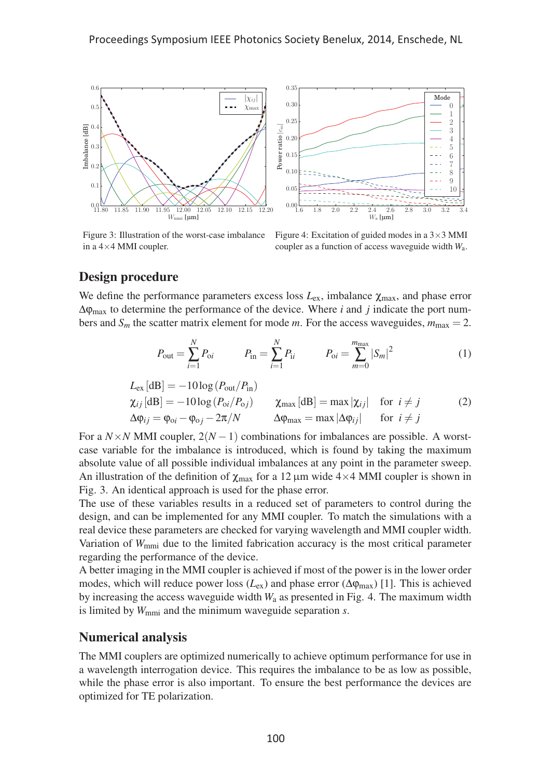

Figure 3: Illustration of the worst-case imbalance in a 4×4 MMI coupler.

Figure 4: Excitation of guided modes in a  $3\times3$  MMI coupler as a function of access waveguide width *W*a.

## Design procedure

We define the performance parameters excess loss  $L_{\text{ex}}$ , imbalance  $\chi_{\text{max}}$ , and phase error  $\Delta \phi_{\text{max}}$  to determine the performance of the device. Where *i* and *j* indicate the port numbers and  $S_m$  the scatter matrix element for mode *m*. For the access waveguides,  $m_{\text{max}} = 2$ .

$$
P_{\text{out}} = \sum_{i=1}^{N} P_{\text{oi}} \qquad P_{\text{in}} = \sum_{i=1}^{N} P_{\text{ii}} \qquad P_{\text{oi}} = \sum_{m=0}^{m_{\text{max}}} |S_m|^2 \qquad (1)
$$

$$
L_{\text{ex}}[dB] = -10\log(P_{\text{out}}/P_{\text{in}})
$$
  
\n
$$
\chi_{ij}[dB] = -10\log(P_{\text{oi}}/P_{\text{oi}})
$$
  
\n
$$
\chi_{\text{max}}[dB] = \max|\chi_{ij}| \text{ for } i \neq j
$$
  
\n
$$
\Delta \varphi_{ij} = \varphi_{\text{oi}} - \varphi_{\text{oj}} - 2\pi/N
$$
  
\n
$$
\Delta \varphi_{\text{max}} = \max|\Delta \varphi_{ij}| \text{ for } i \neq j
$$
  
\n(2)

For a  $N \times N$  MMI coupler,  $2(N-1)$  combinations for imbalances are possible. A worstcase variable for the imbalance is introduced, which is found by taking the maximum absolute value of all possible individual imbalances at any point in the parameter sweep. An illustration of the definition of  $\chi_{\text{max}}$  for a 12 µm wide 4×4 MMI coupler is shown in Fig. 3. An identical approach is used for the phase error.

The use of these variables results in a reduced set of parameters to control during the design, and can be implemented for any MMI coupler. To match the simulations with a real device these parameters are checked for varying wavelength and MMI coupler width. Variation of  $W_{\text{mmi}}$  due to the limited fabrication accuracy is the most critical parameter regarding the performance of the device.

A better imaging in the MMI coupler is achieved if most of the power is in the lower order modes, which will reduce power loss  $(L_{ex})$  and phase error  $(\Delta \varphi_{max})$  [1]. This is achieved by increasing the access waveguide width *W*<sup>a</sup> as presented in Fig. 4. The maximum width is limited by *W*mmi and the minimum waveguide separation *s*.

## Numerical analysis

The MMI couplers are optimized numerically to achieve optimum performance for use in a wavelength interrogation device. This requires the imbalance to be as low as possible, while the phase error is also important. To ensure the best performance the devices are optimized for TE polarization.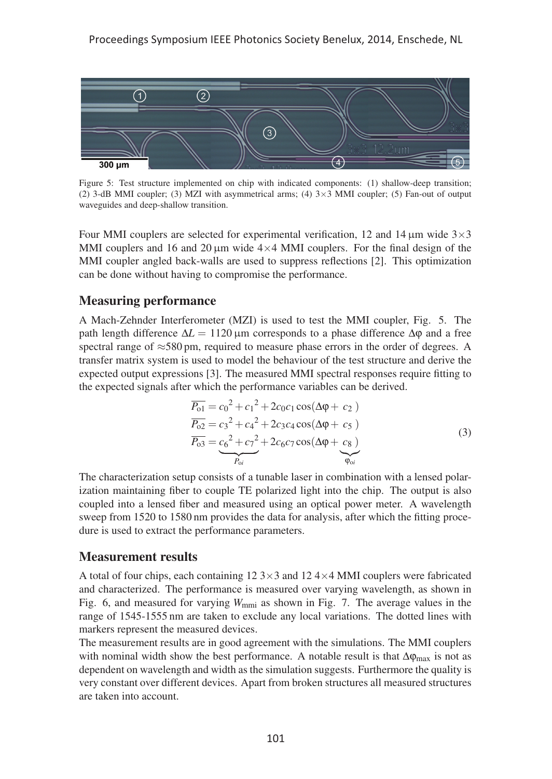

Figure 5: Test structure implemented on chip with indicated components: (1) shallow-deep transition; (2) 3-dB MMI coupler; (3) MZI with asymmetrical arms; (4)  $3\times3$  MMI coupler; (5) Fan-out of output waveguides and deep-shallow transition.

Four MMI couplers are selected for experimental verification, 12 and 14  $\mu$ m wide  $3\times3$ MMI couplers and 16 and 20  $\mu$ m wide 4×4 MMI couplers. For the final design of the MMI coupler angled back-walls are used to suppress reflections [2]. This optimization can be done without having to compromise the performance.

## Measuring performance

A Mach-Zehnder Interferometer (MZI) is used to test the MMI coupler, Fig. 5. The path length difference  $\Delta L = 1120 \,\mu \text{m}$  corresponds to a phase difference  $\Delta \phi$  and a free spectral range of ≈580 pm, required to measure phase errors in the order of degrees. A transfer matrix system is used to model the behaviour of the test structure and derive the expected output expressions [3]. The measured MMI spectral responses require fitting to the expected signals after which the performance variables can be derived.

$$
\overline{P_{01}} = c_0^2 + c_1^2 + 2c_0c_1\cos(\Delta\varphi + c_2)
$$
  
\n
$$
\overline{P_{02}} = c_3^2 + c_4^2 + 2c_3c_4\cos(\Delta\varphi + c_5)
$$
  
\n
$$
\overline{P_{03}} = c_6^2 + c_7^2 + 2c_6c_7\cos(\Delta\varphi + c_8)
$$
  
\n
$$
\overline{P_{0i}}
$$
\n(3)

The characterization setup consists of a tunable laser in combination with a lensed polarization maintaining fiber to couple TE polarized light into the chip. The output is also coupled into a lensed fiber and measured using an optical power meter. A wavelength sweep from 1520 to 1580 nm provides the data for analysis, after which the fitting procedure is used to extract the performance parameters.

#### Measurement results

A total of four chips, each containing  $12\,3\times3$  and  $12\,4\times4$  MMI couplers were fabricated and characterized. The performance is measured over varying wavelength, as shown in Fig. 6, and measured for varying  $W_{\text{mmi}}$  as shown in Fig. 7. The average values in the range of 1545-1555 nm are taken to exclude any local variations. The dotted lines with markers represent the measured devices.

The measurement results are in good agreement with the simulations. The MMI couplers with nominal width show the best performance. A notable result is that  $\Delta \phi_{\text{max}}$  is not as dependent on wavelength and width as the simulation suggests. Furthermore the quality is very constant over different devices. Apart from broken structures all measured structures are taken into account.